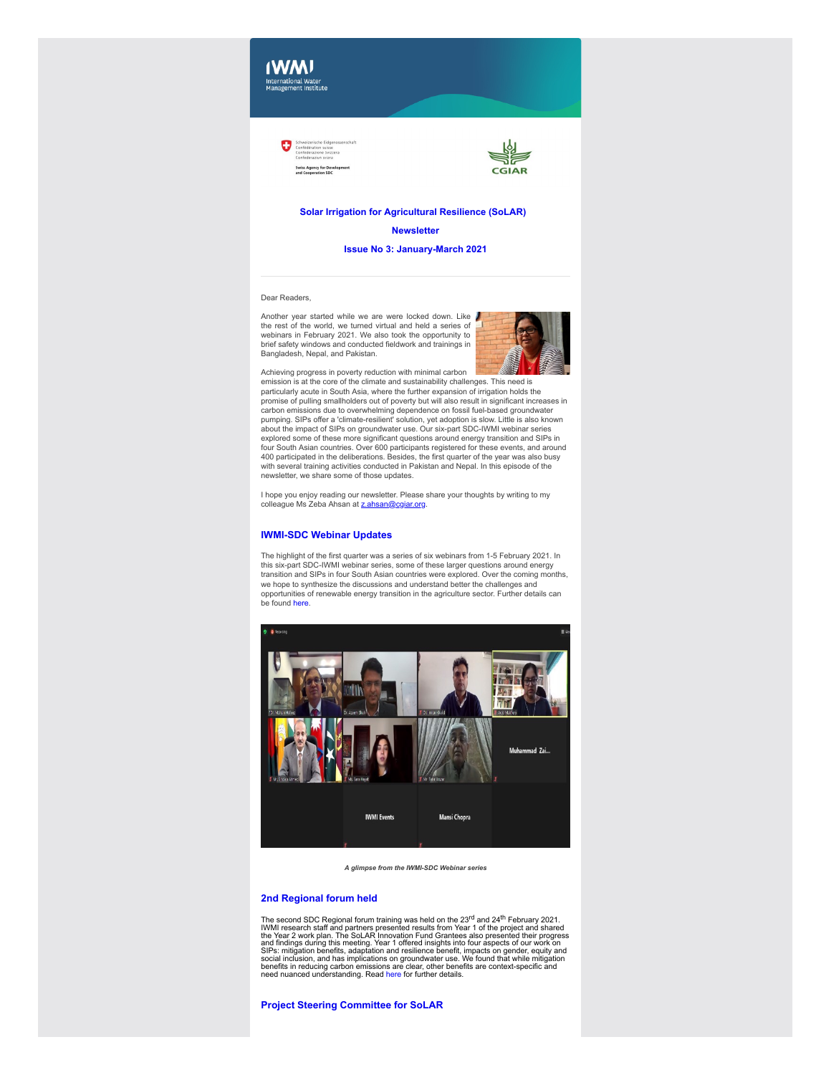

Œ



## **Solar Irrigation for Agricultural Resilience (SoLAR)**

**Newsletter**

**Issue No 3: January-March 2021**

## Dear Readers,

Another year started while we are were locked down. Like the rest of the world, we turned virtual and held a series of webinars in February 2021. We also took the opportunity to brief safety windows and conducted fieldwork and trainings in Bangladesh, Nepal, and Pakistan.



Achieving progress in poverty reduction with minimal carbon emission is at the core of the climate and sustainability challenges. This need is particularly acute in South Asia, where the further expansion of irrigation holds the promise of pulling smallholders out of poverty but will also result in significant increases in carbon emissions due to overwhelming dependence on fossil fuel-based groundwater pumping. SIPs offer a 'climate-resilient' solution, yet adoption is slow. Little is also known about the impact of SIPs on groundwater use. Our six-part SDC-IWMI webinar series explored some of these more significant questions around energy transition and SIPs in four South Asian countries. Over 600 participants registered for these events, and around 400 participated in the deliberations. Besides, the first quarter of the year was also busy with several training activities conducted in Pakistan and Nepal. In this episode of the newsletter, we share some of those updates.

I hope you enjoy reading our newsletter. Please share your thoughts by writing to my colleague Ms Zeba Ahsan at [z.ahsan@cgiar.org.](mailto:z.ahsan@cgiar.org)

# **IWMI-SDC Webinar Updates**

The highlight of the first quarter was a series of six webinars from 1-5 February 2021. In this six-part SDC-IWMI webinar series, some of these larger questions around energy transition and SIPs in four South Asian countries were explored. Over the coming months, we hope to synthesize the discussions and understand better the challenges and opportunities of renewable energy transition in the agriculture sector. Further details can be found [here](https://clt1364917.bmetrack.com/c/l?u=CAC1318&e=12E2E12&c=14D3B5&t=1&email=rCl6ZXzNdYXAlaa8rt3zZVChLVqEDDIg&seq=1).



*A glimpse from the IWMI-SDC Webinar series*

## **2nd Regional forum held**

The second SDC Regional forum training was held on the  $23^{\text{rd}}$  and  $24^{\text{th}}$  February 2021.<br>WMI research staff and partners presented results from Year 1 of the project and shared<br>the Year 2 work plan. The SoLAR Innov

**Project Steering Committee for SoLAR**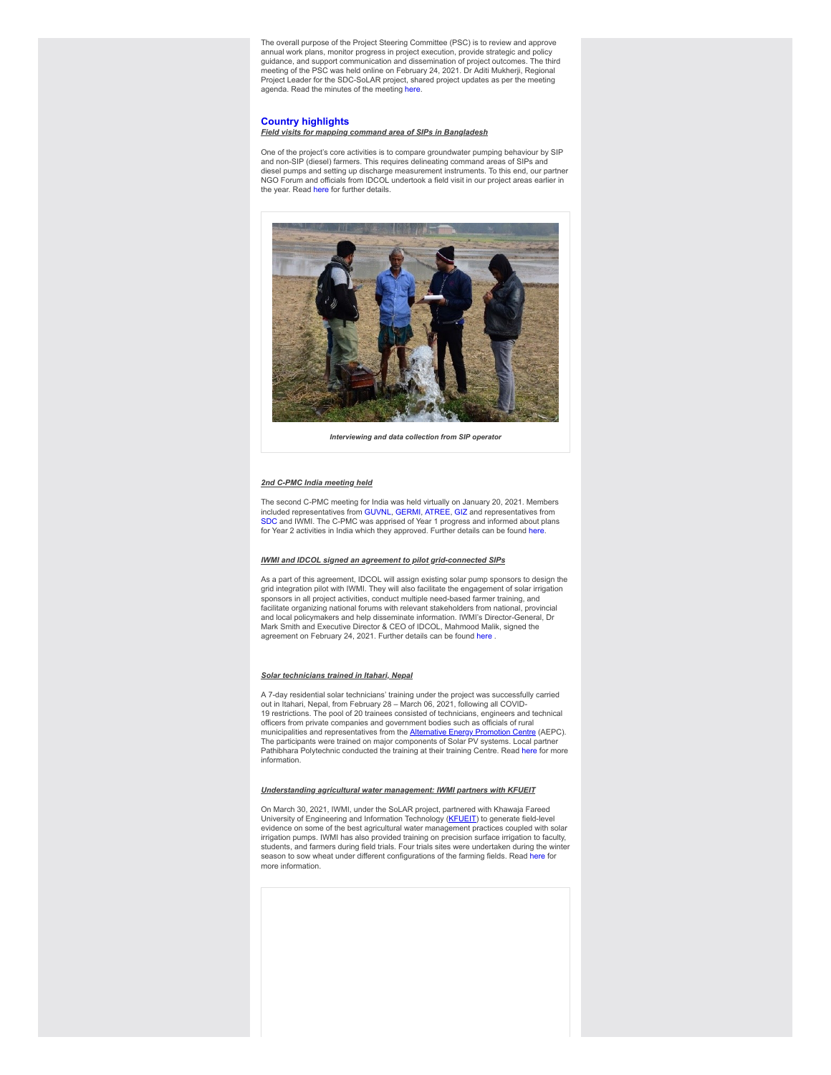The overall purpose of the Project Steering Committee (PSC) is to review and approve annual work plans, monitor progress in project execution, provide strategic and policy guidance, and support communication and dissemination of project outcomes. The third meeting of the PSC was held online on February 24, 2021. Dr Aditi Mukherji, Regional Project Leader for the SDC-SoLAR project, shared project updates as per the meeting agenda. Read the minutes of the meeting [here.](https://clt1364917.bmetrack.com/c/l?u=CAE2E18&e=12E2E12&c=14D3B5&t=1&email=rCl6ZXzNdYXAlaa8rt3zZVChLVqEDDIg&seq=1)

## **Country highlights**

# *Field visits for mapping command area of SIPs in Bangladesh*

One of the project's core activities is to compare groundwater pumping behaviour by SIP and non-SIP (diesel) farmers. This requires delineating command areas of SIPs and diesel pumps and setting up discharge measurement instruments. To this end, our partner<br>NGO Forum and officials from IDCOL undertook a field visit in our project areas earlier in the year. Read [here](https://clt1364917.bmetrack.com/c/l?u=CAE2E19&e=12E2E12&c=14D3B5&t=1&email=rCl6ZXzNdYXAlaa8rt3zZVChLVqEDDIg&seq=1) for further details.



*Interviewing and data collection from SIP operator*

## *2nd C-PMC India meeting held*

The second C-PMC meeting for India was held virtually on January 20, 2021. Members included representatives from [GUVNL](https://clt1364917.bmetrack.com/c/l?u=CAC46F5&e=12E2E12&c=14D3B5&t=1&email=rCl6ZXzNdYXAlaa8rt3zZVChLVqEDDIg&seq=1), [GERMI](https://clt1364917.bmetrack.com/c/l?u=CAC46F6&e=12E2E12&c=14D3B5&t=1&email=rCl6ZXzNdYXAlaa8rt3zZVChLVqEDDIg&seq=1), [ATREE,](https://clt1364917.bmetrack.com/c/l?u=CAC46F7&e=12E2E12&c=14D3B5&t=1&email=rCl6ZXzNdYXAlaa8rt3zZVChLVqEDDIg&seq=1) [GIZ](https://clt1364917.bmetrack.com/c/l?u=CAC46F8&e=12E2E12&c=14D3B5&t=1&email=rCl6ZXzNdYXAlaa8rt3zZVChLVqEDDIg&seq=1) and representatives from [SDC](https://clt1364917.bmetrack.com/c/l?u=CAC46F9&e=12E2E12&c=14D3B5&t=1&email=rCl6ZXzNdYXAlaa8rt3zZVChLVqEDDIg&seq=1) and IWMI. The C-PMC was apprised of Year 1 progress and informed about plans for Year 2 activities in India which they approved. Further details can be found [here](https://clt1364917.bmetrack.com/c/l?u=CAE2E1A&e=12E2E12&c=14D3B5&t=1&email=rCl6ZXzNdYXAlaa8rt3zZVChLVqEDDIg&seq=1).

#### *IWMI and IDCOL signed an agreement to pilot grid-connected SIPs*

As a part of this agreement, IDCOL will assign existing solar pump sponsors to design the grid integration pilot with IWMI. They will also facilitate the engagement of solar irrigation sponsors in all project activities, conduct multiple need-based farmer training, and facilitate organizing national forums with relevant stakeholders from national, provincial and local policymakers and help disseminate information. IWMI's Director-General, Dr Mark Smith and Executive Director & CEO of IDCOL, Mahmood Malik, signed the agreement on February 24, 2021. Further details can be found here

#### *Solar technicians trained in Itahari, Nepal*

A 7-day residential solar technicians' training under the project was successfully carried out in Itahari, Nepal, from February 28 – March 06, 2021, following all COVID-19 restrictions. The pool of 20 trainees consisted of technicians, engineers and technical officers from private companies and government bodies such as officials of rural municipalities and representatives from the <u>Alternative Energy Promotion Centre</u> (AEPC).<br>The participants were trained on major components of Solar PV systems. Local partner Pathibhara Polytechnic conducted the training at their training Centre. Read [here](https://clt1364917.bmetrack.com/c/l?u=CAE2E1B&e=12E2E12&c=14D3B5&t=1&email=rCl6ZXzNdYXAlaa8rt3zZVChLVqEDDIg&seq=1) for more information.

### *Understanding agricultural water management: IWMI partners with KFUEIT*

On March 30, 2021, IWMI, under the SoLAR project, partnered with Khawaja Fareed University of Engineering and Information Technology (KEUEIT) to generate field-level<br>evidence on some of the best agricultural water management practices coupled with solar irrigation pumps. IWMI has also provided training on precision surface irrigation to faculty, students, and farmers during field trials. Four trials sites were undertaken during the winter season to sow wheat under different configurations of the farming fields. Read [here](https://clt1364917.bmetrack.com/c/l?u=CAE2E1C&e=12E2E12&c=14D3B5&t=1&email=rCl6ZXzNdYXAlaa8rt3zZVChLVqEDDIg&seq=1) for more information.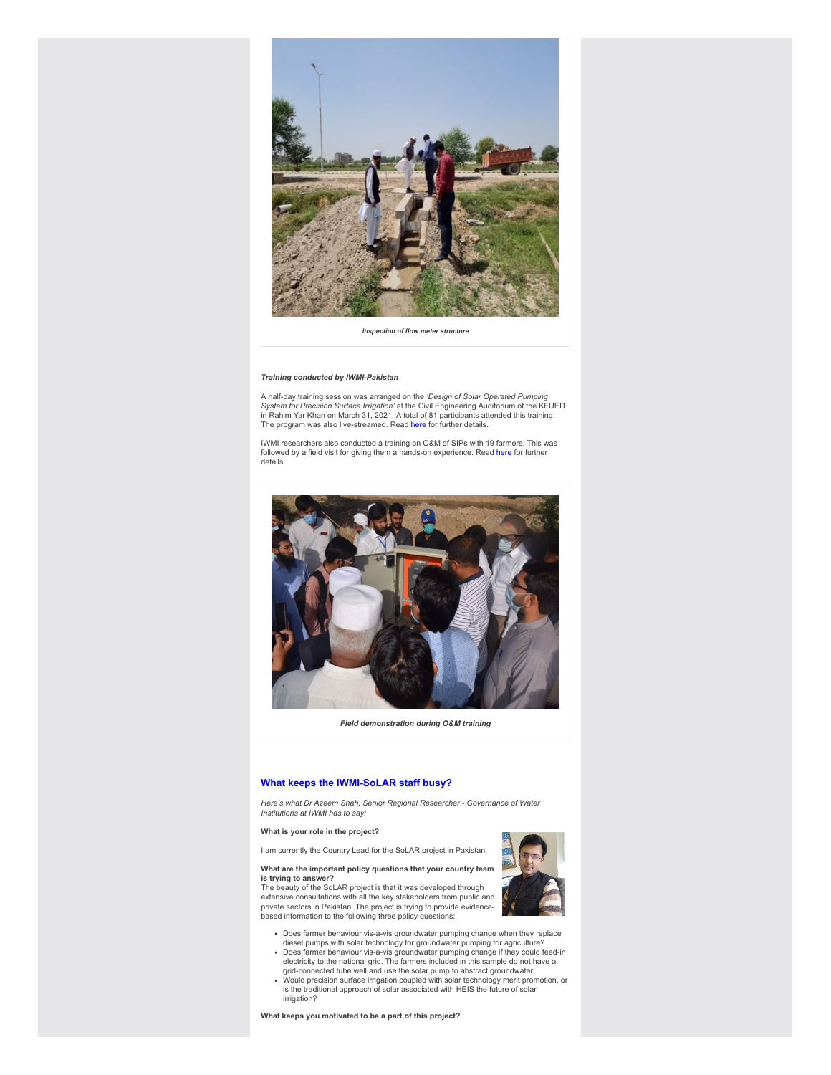

*Inspection of flow meter structure*

## *Training conducted by IWMI-Pakistan*

A half-day training session was arranged on the *'Design of Solar Operated Pumping System for Precision Surface Irrigation'* at the Civil Engineering Auditorium of the KFUEIT in Rahim Yar Khan on March 31, 2021. A total of 81 participants attended this training. The program was also live-streamed. Read [here](https://clt1364917.bmetrack.com/c/l?u=CAE2E1C&e=12E2E12&c=14D3B5&t=1&email=rCl6ZXzNdYXAlaa8rt3zZVChLVqEDDIg&seq=2) for further details.

IWMI researchers also conducted a training on O&M of SIPs with 19 farmers. This was followed by a field visit for giving them a hands-on experience. Read [here](https://clt1364917.bmetrack.com/c/l?u=CAE2E1C&e=12E2E12&c=14D3B5&t=1&email=rCl6ZXzNdYXAlaa8rt3zZVChLVqEDDIg&seq=3) for further details.



*Field demonstration during O&M training*

# **What keeps the IWMI-SoLAR staff busy?**

*Here's what Dr Azeem Shah, Senior Regional Researcher - Governance of Water Institutions at IWMI has to say:*

**What is your role in the project?**

I am currently the Country Lead for the SoLAR project in Pakistan.

#### **What are the important policy questions that your country team is trying to answer?**

The beauty of the SoLAR project is that it was developed through extensive consultations with all the key stakeholders from public and private sectors in Pakistan. The project is trying to provide evidencebased information to the following three policy questions:



- Does farmer behaviour vis-à-vis groundwater pumping change when they replace diesel pumps with solar technology for groundwater pumping for agriculture?
- Does farmer behaviour vis-à-vis groundwater pumping change if they could feed-in electricity to the national grid. The farmers included in this sample do not have a grid-connected tube well and use the solar pump to abstract groundwater.
- Would precision surface irrigation coupled with solar technology merit promotion, or is the traditional approach of solar associated with HEIS the future of solar irrigation?

**What keeps you motivated to be a part of this project?**